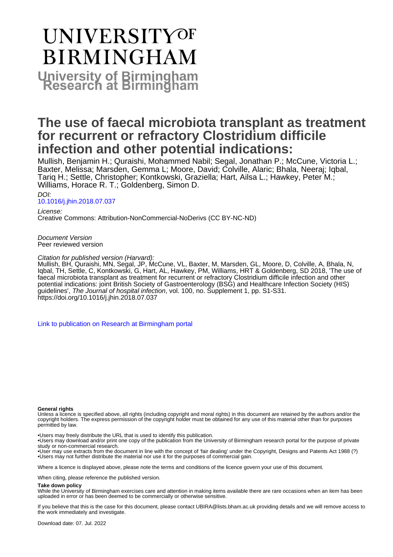# **UNIVERSITYOF BIRMINGHAM University of Birmingham**

# **The use of faecal microbiota transplant as treatment for recurrent or refractory Clostridium difficile infection and other potential indications:**

Mullish, Benjamin H.; Quraishi, Mohammed Nabil; Segal, Jonathan P.; McCune, Victoria L.; Baxter, Melissa; Marsden, Gemma L; Moore, David; Colville, Alaric; Bhala, Neeraj; Iqbal, Tariq H.; Settle, Christopher; Kontkowski, Graziella; Hart, Ailsa L.; Hawkey, Peter M.; Williams, Horace R. T.; Goldenberg, Simon D.

DOI:

## [10.1016/j.jhin.2018.07.037](https://doi.org/10.1016/j.jhin.2018.07.037)

License: Creative Commons: Attribution-NonCommercial-NoDerivs (CC BY-NC-ND)

Document Version Peer reviewed version

### Citation for published version (Harvard):

Mullish, BH, Quraishi, MN, Segal, JP, McCune, VL, Baxter, M, Marsden, GL, Moore, D, Colville, A, Bhala, N, Iqbal, TH, Settle, C, Kontkowski, G, Hart, AL, Hawkey, PM, Williams, HRT & Goldenberg, SD 2018, 'The use of faecal microbiota transplant as treatment for recurrent or refractory Clostridium difficile infection and other potential indications: joint British Society of Gastroenterology (BSG) and Healthcare Infection Society (HIS) guidelines', The Journal of hospital infection, vol. 100, no. Supplement 1, pp. S1-S31. <https://doi.org/10.1016/j.jhin.2018.07.037>

[Link to publication on Research at Birmingham portal](https://birmingham.elsevierpure.com/en/publications/f4831831-af5e-44df-bdfd-7a68599136fc)

#### **General rights**

Unless a licence is specified above, all rights (including copyright and moral rights) in this document are retained by the authors and/or the copyright holders. The express permission of the copyright holder must be obtained for any use of this material other than for purposes permitted by law.

- Users may freely distribute the URL that is used to identify this publication.
- • Users may download and/or print one copy of the publication from the University of Birmingham research portal for the purpose of private study or non-commercial research.

• User may use extracts from the document in line with the concept of 'fair dealing' under the Copyright, Designs and Patents Act 1988 (?) • Users may not further distribute the material nor use it for the purposes of commercial gain.

Where a licence is displayed above, please note the terms and conditions of the licence govern your use of this document.

When citing, please reference the published version.

#### **Take down policy**

While the University of Birmingham exercises care and attention in making items available there are rare occasions when an item has been uploaded in error or has been deemed to be commercially or otherwise sensitive.

If you believe that this is the case for this document, please contact UBIRA@lists.bham.ac.uk providing details and we will remove access to the work immediately and investigate.